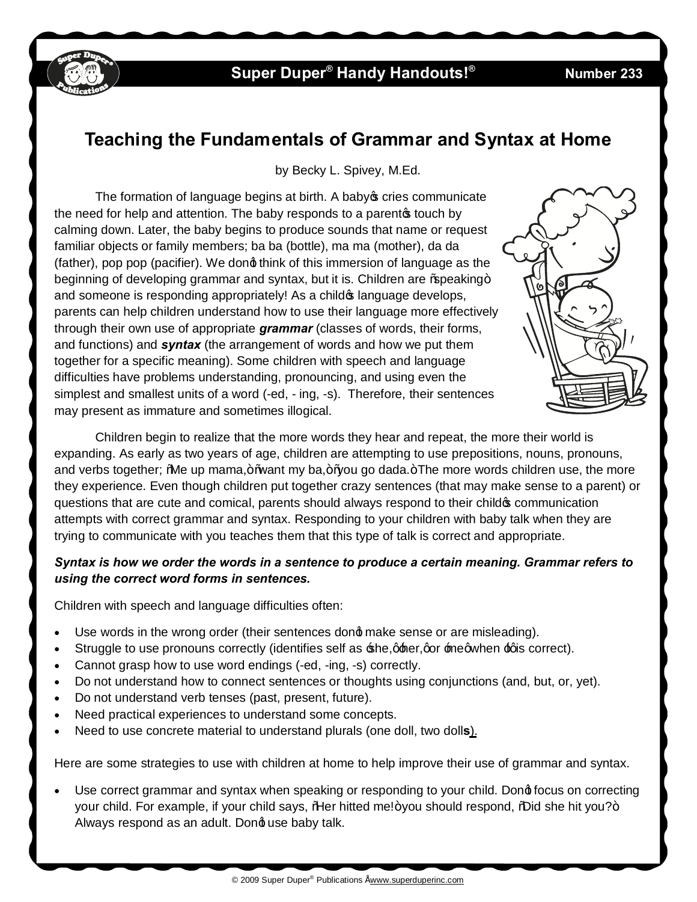

## **Super Duper<sup>®</sup> Handy Handouts!<sup>®</sup>**

#### **233**

# **Teaching the Fundamentals of Grammar and Syntax at Home**

by Becky L. Spivey, M.Ed.

The formation of language begins at birth. A baby ocries communicate the need for help and attention. The baby responds to a parentos touch by calming down. Later, the baby begins to produce sounds that name or request familiar objects or family members; ba ba (bottle), ma ma (mother), da da (father), pop pop (pacifier). We dong think of this immersion of language as the beginning of developing grammar and syntax, but it is. Children are % peaking + and someone is responding appropriately! As a child of language develops, parents can help children understand how to use their language more effectively through their own use of appropriate *grammar* (classes of words, their forms, and functions) and *syntax* (the arrangement of words and how we put them together for a specific meaning). Some children with speech and language difficulties have problems understanding, pronouncing, and using even the simplest and smallest units of a word (-ed, - ing, -s). Therefore, their sentences may present as immature and sometimes illogical.



Children begin to realize that the more words they hear and repeat, the more their world is expanding. As early as two years of age, children are attempting to use prepositions, nouns, pronouns, and verbs together; "Me up mama,+ "want my ba,+ " you go dada. + The more words children use, the more they experience. Even though children put together crazy sentences (that may make sense to a parent) or questions that are cute and comical, parents should always respond to their child  $\infty$  communication attempts with correct grammar and syntax. Responding to your children with baby talk when they are trying to communicate with you teaches them that this type of talk is correct and appropriate.

### *Syntax is how we order the words in a sentence to produce a certain meaning. Grammar refers to using the correct word forms in sentences.*

Children with speech and language difficulties often:

- Use words in the wrong order (their sentences dond make sense or are misleading).
- Struggle to use pronouns correctly (identifies self as  $\pm$ he,  $\frac{1}{2}$  her, gor  $\pm$  megwhen  $\pm$  gis correct).
- · Cannot grasp how to use word endings (-ed, -ing, -s) correctly.
- · Do not understand how to connect sentences or thoughts using conjunctions (and, but, or, yet).
- · Do not understand verb tenses (past, present, future).
- Need practical experiences to understand some concepts.
- · Need to use concrete material to understand plurals (one doll, two doll**s**).

Here are some strategies to use with children at home to help improve their use of grammar and syntax.

Use correct grammar and syntax when speaking or responding to your child. Dong focus on correcting your child. For example, if your child says, % Her hitted me!+you should respond, % lid she hit you?+ Always respond as an adult. Dong use baby talk.